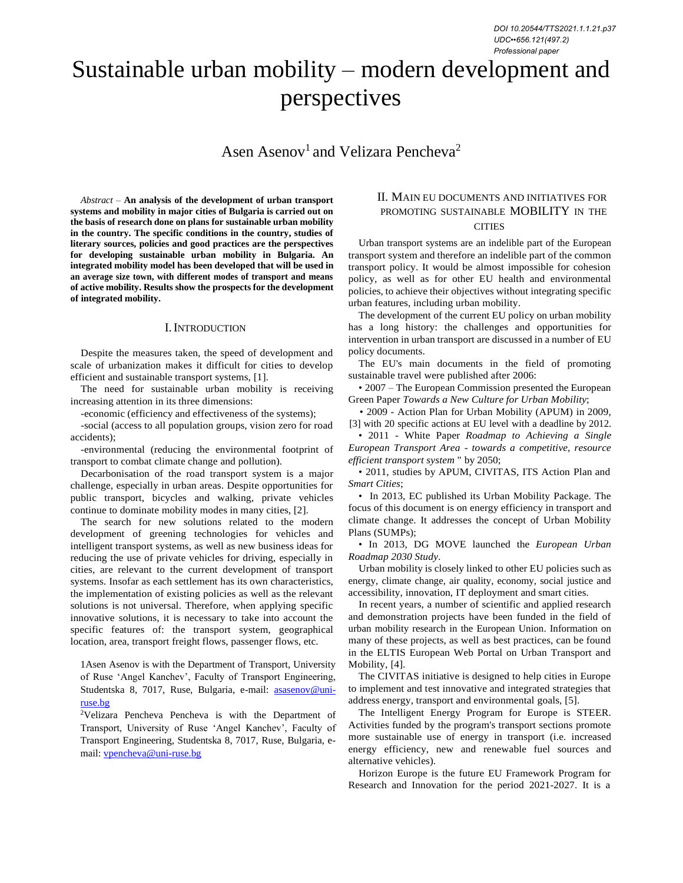# Sustainable urban mobility – modern development and perspectives

Asen Asenov<sup>1</sup> and Velizara Pencheva<sup>2</sup>

*Abstract –* **An analysis of the development of urban transport systems and mobility in major cities of Bulgaria is carried out on the basis of research done on plans for sustainable urban mobility in the country. The specific conditions in the country, studies of literary sources, policies and good practices are the perspectives for developing sustainable urban mobility in Bulgaria. An integrated mobility model has been developed that will be used in an average size town, with different modes of transport and means of active mobility. Results show the prospects for the development of integrated mobility.**

#### I.INTRODUCTION

Despite the measures taken, the speed of development and scale of urbanization makes it difficult for cities to develop efficient and sustainable transport systems, [1].

The need for sustainable urban mobility is receiving increasing attention in its three dimensions:

-economic (efficiency and effectiveness of the systems);

-social (access to all population groups, vision zero for road accidents);

-environmental (reducing the environmental footprint of transport to combat climate change and pollution).

Decarbonisation of the road transport system is a major challenge, especially in urban areas. Despite opportunities for public transport, bicycles and walking, private vehicles continue to dominate mobility modes in many cities, [2].

The search for new solutions related to the modern development of greening technologies for vehicles and intelligent transport systems, as well as new business ideas for reducing the use of private vehicles for driving, especially in cities, are relevant to the current development of transport systems. Insofar as each settlement has its own characteristics, the implementation of existing policies as well as the relevant solutions is not universal. Therefore, when applying specific innovative solutions, it is necessary to take into account the specific features of: the transport system, geographical location, area, transport freight flows, passenger flows, etc.

1Asen Asenov is with the Department of Transport, University of Ruse 'Angel Kanchev', Faculty of Transport Engineering, Studentska 8, 7017, Ruse, Bulgaria, e-mail: [asasenov@uni](mailto:asasenov@uni-ruse.bg)[ruse.bg](mailto:asasenov@uni-ruse.bg)

<sup>2</sup>Velizara Pencheva Pencheva is with the Department of Transport, University of Ruse 'Angel Kanchev', Faculty of Transport Engineering, Studentska 8, 7017, Ruse, Bulgaria, email: [vpencheva@uni-ruse.bg](mailto:vpencheva@uni-ruse.bg)

## II. MAIN EU DOCUMENTS AND INITIATIVES FOR PROMOTING SUSTAINABLE MOBILITY IN THE **CITIES**

Urban transport systems are an indelible part of the European transport system and therefore an indelible part of the common transport policy. It would be almost impossible for cohesion policy, as well as for other EU health and environmental policies, to achieve their objectives without integrating specific urban features, including urban mobility.

The development of the current EU policy on urban mobility has a long history: the challenges and opportunities for intervention in urban transport are discussed in a number of EU policy documents.

The EU's main documents in the field of promoting sustainable travel were published after 2006:

• 2007 – The European Commission presented the European Green Paper *Towards a New Culture for Urban Mobility*;

• 2009 - Action Plan for Urban Mobility (APUM) in 2009, [3] with 20 specific actions at EU level with a deadline by 2012.

• 2011 - White Paper *Roadmap to Achieving a Single European Transport Area* - *towards a competitive, resource efficient transport system* " by 2050;

• 2011, studies by APUM, CIVITAS, ITS Action Plan and *Smart Cities*;

• In 2013, EC published its Urban Mobility Package. The focus of this document is on energy efficiency in transport and climate change. It addresses the concept of Urban Mobility Plans (SUMPs);

• In 2013, DG MOVE launched the *European Urban Roadmap 2030 Study*.

Urban mobility is closely linked to other EU policies such as energy, climate change, air quality, economy, social justice and accessibility, innovation, IT deployment and smart cities.

In recent years, a number of scientific and applied research and demonstration projects have been funded in the field of urban mobility research in the European Union. Information on many of these projects, as well as best practices, can be found in the ELTIS European Web Portal on Urban Transport and Mobility, [4].

The CIVITAS initiative is designed to help cities in Europe to implement and test innovative and integrated strategies that address energy, transport and environmental goals, [5].

The Intelligent Energy Program for Europe is STEER. Activities funded by the program's transport sections promote more sustainable use of energy in transport (i.e. increased energy efficiency, new and renewable fuel sources and alternative vehicles).

Horizon Europe is the future EU Framework Program for Research and Innovation for the period 2021-2027. It is a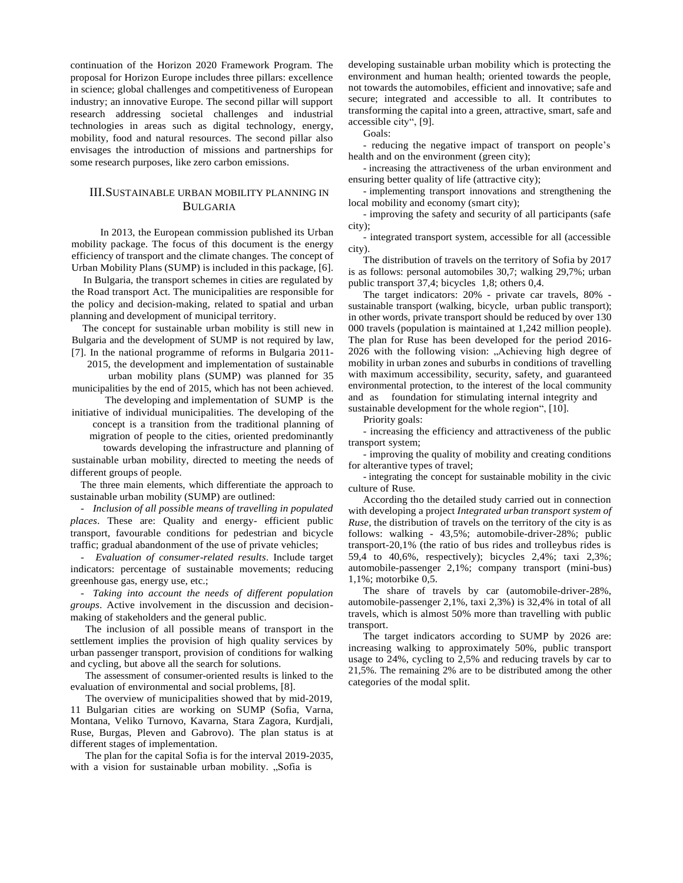continuation of the Horizon 2020 Framework Program. The proposal for Horizon Europe includes three pillars: excellence in science; global challenges and competitiveness of European industry; an innovative Europe. The second pillar will support research addressing societal challenges and industrial technologies in areas such as digital technology, energy, mobility, food and natural resources. The second pillar also envisages the introduction of missions and partnerships for some research purposes, like zero carbon emissions.

#### III.SUSTAINABLE URBAN MOBILITY PLANNING IN **BULGARIA**

In 2013, the European commission published its Urban mobility package. The focus of this document is the energy efficiency of transport and the climate changes. The concept of Urban Mobility Plans (SUMP) is included in this package, [6].

In Bulgaria, the transport schemes in cities are regulated by the Road transport Act. The municipalities are responsible for the policy and decision-making, related to spatial and urban planning and development of municipal territory.

The concept for sustainable urban mobility is still new in Bulgaria and the development of SUMP is not required by law, [7]. In the national programme of reforms in Bulgaria 2011-

2015, the development and implementation of sustainable urban mobility plans (SUMP) was planned for 35

municipalities by the end of 2015, which has not been achieved. The developing and implementation of SUMP is the

initiative of individual municipalities. The developing of the concept is a transition from the traditional planning of migration of people to the cities, oriented predominantly

towards developing the infrastructure and planning of sustainable urban mobility, directed to meeting the needs of

different groups of people.

The three main elements, which differentiate the approach to sustainable urban mobility (SUMP) are outlined:

- *Inclusion of all possible means of travelling in populated places*. These are: Quality and energy- efficient public transport, favourable conditions for pedestrian and bicycle traffic; gradual abandonment of the use of private vehicles;

- *Evaluation of consumer-related results*. Include target indicators: percentage of sustainable movements; reducing greenhouse gas, energy use, etc.;

- *Taking into account the needs of different population groups*. Active involvement in the discussion and decisionmaking of stakeholders and the general public.

The inclusion of all possible means of transport in the settlement implies the provision of high quality services by urban passenger transport, provision of conditions for walking and cycling, but above all the search for solutions.

The assessment of consumer-oriented results is linked to the evaluation of environmental and social problems, [8].

The overview of municipalities showed that by mid-2019, 11 Bulgarian cities are working on SUMP (Sofia, Varna, Montana, Veliko Turnovo, Kavarna, Stara Zagora, Kurdjali, Ruse, Burgas, Pleven and Gabrovo). The plan status is at different stages of implementation.

The plan for the capital Sofia is for the interval 2019-2035, with a vision for sustainable urban mobility. "Sofia is

developing sustainable urban mobility which is protecting the environment and human health; oriented towards the people, not towards the automobiles, efficient and innovative; safe and secure; integrated and accessible to all. It contributes to transforming the capital into a green, attractive, smart, safe and accessible city", [9].

Goals:

- reducing the negative impact of transport on people's health and on the environment (green city);

- increasing the attractiveness of the urban environment and ensuring better quality of life (attractive city);

- implementing transport innovations and strengthening the local mobility and economy (smart city);

- improving the safety and security of all participants (safe city);

- integrated transport system, accessible for all (accessible city).

The distribution of travels on the territory of Sofia by 2017 is as follows: personal automobiles 30,7; walking 29,7%; urban public transport 37,4; bicycles 1,8; others 0,4.

The target indicators: 20% - private car travels, 80% sustainable transport (walking, bicycle, urban public transport); in other words, private transport should be reduced by over 130 000 travels (population is maintained at 1,242 million people). The plan for Ruse has been developed for the period 2016- 2026 with the following vision: "Achieving high degree of mobility in urban zones and suburbs in conditions of travelling with maximum accessibility, security, safety, and guaranteed environmental protection, to the interest of the local community and as foundation for stimulating internal integrity and sustainable development for the whole region", [10].

Priority goals:

- increasing the efficiency and attractiveness of the public transport system;

- improving the quality of mobility and creating conditions for alterantive types of travel;

- integrating the concept for sustainable mobility in the civic culture of Ruse.

According tho the detailed study carried out in connection with developing a project *Integrated urban transport system of Ruse*, the distribution of travels on the territory of the city is as follows: walking - 43,5%; automobile-driver-28%; public transport-20,1% (the ratio of bus rides and trolleybus rides is 59,4 to 40,6%, respectively); bicycles 2,4%; taxi 2,3%; automobile-passenger 2,1%; company transport (mini-bus) 1,1%; motorbike 0,5.

The share of travels by car (automobile-driver-28%, automobile-passenger 2,1%, taxi 2,3%) is 32,4% in total of all travels, which is almost 50% more than travelling with public transport.

The target indicators according to SUMP by 2026 are: increasing walking to approximately 50%, public transport usage to 24%, cycling to 2,5% and reducing travels by car to 21,5%. The remaining 2% are to be distributed among the other categories of the modal split.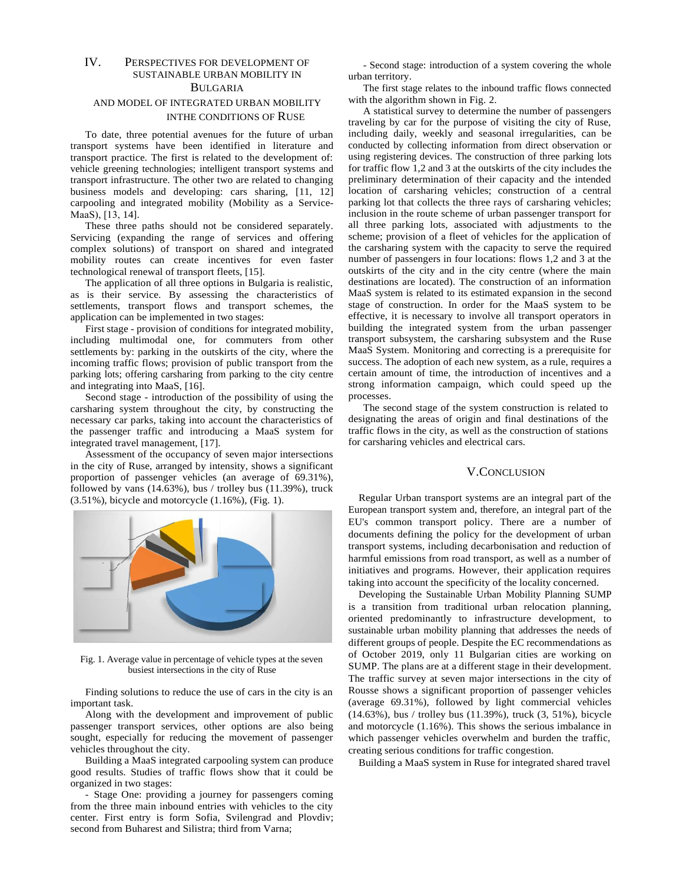### IV. PERSPECTIVES FOR DEVELOPMENT OF SUSTAINABLE URBAN MOBILITY IN BULGARIA

## AND MODEL OF INTEGRATED URBAN MOBILITY INTHE CONDITIONS OF RUSE

To date, three potential avenues for the future of urban transport systems have been identified in literature and transport practice. The first is related to the development of: vehicle greening technologies; intelligent transport systems and transport infrastructure. The other two are related to changing business models and developing: cars sharing, [11, 12] carpooling and integrated mobility (Mobility as a Service-МааS), [13, 14].

These three paths should not be considered separately. Servicing (expanding the range of services and offering complex solutions) of transport on shared and integrated mobility routes can create incentives for even faster technological renewal of transport fleets, [15].

The application of all three options in Bulgaria is realistic, as is their service. By assessing the characteristics of settlements, transport flows and transport schemes, the application can be implemented in two stages:

First stage - provision of conditions for integrated mobility, including multimodal one, for commuters from other settlements by: parking in the outskirts of the city, where the incoming traffic flows; provision of public transport from the parking lots; offering carsharing from parking to the city centre and integrating into MaaS, [16].

Second stage - introduction of the possibility of using the carsharing system throughout the city, by constructing the necessary car parks, taking into account the characteristics of the passenger traffic and introducing a MaaS system for integrated travel management, [17].

Assessment of the occupancy of seven major intersections in the city of Ruse, arranged by intensity, shows a significant proportion of passenger vehicles (an average of 69.31%), followed by vans  $(14.63\%)$ , bus / trolley bus  $(11.39\%)$ , truck (3.51%), bicycle and motorcycle (1.16%), (Fig. 1).



Fig. 1. Average value in percentage of vehicle types at the seven busiest intersections in the city of Ruse

Finding solutions to reduce the use of cars in the city is an important task.

Along with the development and improvement of public passenger transport services, other options are also being sought, especially for reducing the movement of passenger vehicles throughout the city.

Building a MaaS integrated carpooling system can produce good results. Studies of traffic flows show that it could be organized in two stages:

- Stage One: providing a journey for passengers coming from the three main inbound entries with vehicles to the city center. First entry is form Sofia, Svilengrad and Plovdiv; second from Buharest and Silistra; third from Varna;

- Second stage: introduction of a system covering the whole urban territory.

The first stage relates to the inbound traffic flows connected with the algorithm shown in Fig. 2.

A statistical survey to determine the number of passengers traveling by car for the purpose of visiting the city of Ruse, including daily, weekly and seasonal irregularities, can be conducted by collecting information from direct observation or using registering devices. The construction of three parking lots for traffic flow 1,2 and 3 at the outskirts of the city includes the preliminary determination of their capacity and the intended location of carsharing vehicles; construction of a central parking lot that collects the three rays of carsharing vehicles; inclusion in the route scheme of urban passenger transport for all three parking lots, associated with adjustments to the scheme; provision of a fleet of vehicles for the application of the carsharing system with the capacity to serve the required number of passengers in four locations: flows 1,2 and 3 at the outskirts of the city and in the city centre (where the main destinations are located). The construction of an information MaaS system is related to its estimated expansion in the second stage of construction. In order for the MaaS system to be effective, it is necessary to involve all transport operators in building the integrated system from the urban passenger transport subsystem, the carsharing subsystem and the Ruse MaaS System. Monitoring and correcting is a prerequisite for success. The adoption of each new system, as a rule, requires a certain amount of time, the introduction of incentives and a strong information campaign, which could speed up the processes.

The second stage of the system construction is related to designating the areas of origin and final destinations of the traffic flows in the city, as well as the construction of stations for carsharing vehicles and electrical cars.

## V.CONCLUSION

Regular Urban transport systems are an integral part of the European transport system and, therefore, an integral part of the EU's common transport policy. There are a number of documents defining the policy for the development of urban transport systems, including decarbonisation and reduction of harmful emissions from road transport, as well as a number of initiatives and programs. However, their application requires taking into account the specificity of the locality concerned.

Developing the Sustainable Urban Mobility Planning SUMP is a transition from traditional urban relocation planning, oriented predominantly to infrastructure development, to sustainable urban mobility planning that addresses the needs of different groups of people. Despite the EC recommendations as of October 2019, only 11 Bulgarian cities are working on SUMP. The plans are at a different stage in their development. The traffic survey at seven major intersections in the city of Rousse shows a significant proportion of passenger vehicles (average 69.31%), followed by light commercial vehicles (14.63%), bus / trolley bus (11.39%), truck (3, 51%), bicycle and motorcycle (1.16%). This shows the serious imbalance in which passenger vehicles overwhelm and burden the traffic, creating serious conditions for traffic congestion.

Building a MaaS system in Ruse for integrated shared travel